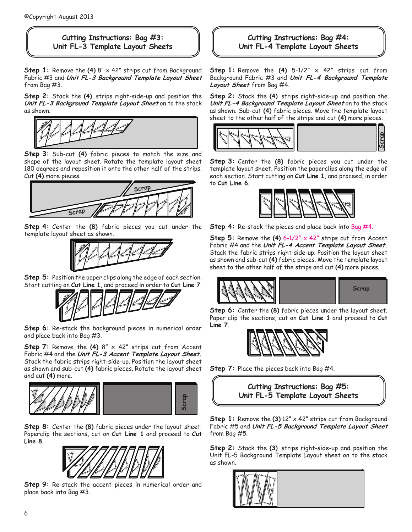## **Cutting Instructions: Bag #3: Unit FL-3 Template Layout Sheets**

**Step 1:** Remove the **(4)** 8" x 42" strips cut from Background Fabric #3 and **Unit FL-3 Background Template Layout Sheet** from Bag #3.

**Step 2:** Stack the **(4)** strips right-side-up and position the **Unit FL-3 Background Template Layout Sheet** on to the stack as shown.



**Step 3:** Sub-cut **(4)** fabric pieces to match the size and shape of the layout sheet. Rotate the template layout sheet 180 degrees and reposition it onto the other half of the strips. Cut **(4)** more pieces.



**Step 4:** Center the **(8)** fabric pieces you cut under the template layout sheet as shown.



**Step 5:** Position the paper clips along the edge of each section. Start cutting on **Cut Line 1**, and proceed in order to **Cut Line 7**.



**Step 6:** Re-stack the background pieces in numerical order and place back into Bag #3.

**Step 7:** Remove the **(4)** 8" x 42" strips cut from Accent Fabric #4 and the **Unit FL-3 Accent Template Layout Sheet.**  Stack the fabric strips right-side-up. Position the layout sheet as shown and sub-cut **(4)** fabric pieces. Rotate the layout sheet and cut **(4)** more.



**Step 8:** Center the **(8)** fabric pieces under the layout sheet. Paperclip the sections, cut on **Cut Line 1** and proceed to **Cut Line 8**.



**Step 9:** Re-stack the accent pieces in numerical order and place back into Bag #3.

## **Cutting Instructions: Bag #4: Unit FL-4 Template Layout Sheets**

**Step 1:**  Remove the **(4)** 5-1/2" x 42" strips cut from Background Fabric #3 and **Unit FL-4 Background Template Layout Sheet** from Bag #4.

**Step 2:** Stack the **(4)** strips right-side-up and position the **Unit FL-4 Background Template Layout Sheet** on to the stack as shown. Sub-cut **(4)** fabric pieces. Move the template layout sheet to the other half of the strips and cut **(4)** more pieces.



**Step 3:** Center the **(8)** fabric pieces you cut under the template layout sheet. Position the paperclips along the edge of each section. Start cutting on **Cut Line 1**, and proceed, in order to **Cut Line 6**.



**Step 4:** Re-stack the pieces and place back into Bag #4.

**Step 5:** Remove the **(4)** 6-1/2" x 42" strips cut from Accent Fabric #4 and the **Unit FL-4 Accent Template Layout Sheet.**  Stack the fabric strips right-side-up. Position the layout sheet as shown and sub-cut **(4)** fabric pieces. Move the template layout sheet to the other half of the strips and cut **(4)** more pieces.



**Step 6:** Center the **(8)** fabric pieces under the layout sheet. Paper clip the sections, cut on **Cut Line 1** and proceed to **Cut Line 7**.



**Step 7:** Place the pieces back into Bag #4.



**Step 1:** Remove the **(3)** 12" x 42" strips cut from Background Fabric #5 and **Unit FL-5 Background Template Layout Sheet** from Bag #5.

**Step 2:** Stack the **(3)** strips right-side-up and position the Unit FL-5 Background Template Layout sheet on to the stack as shown.